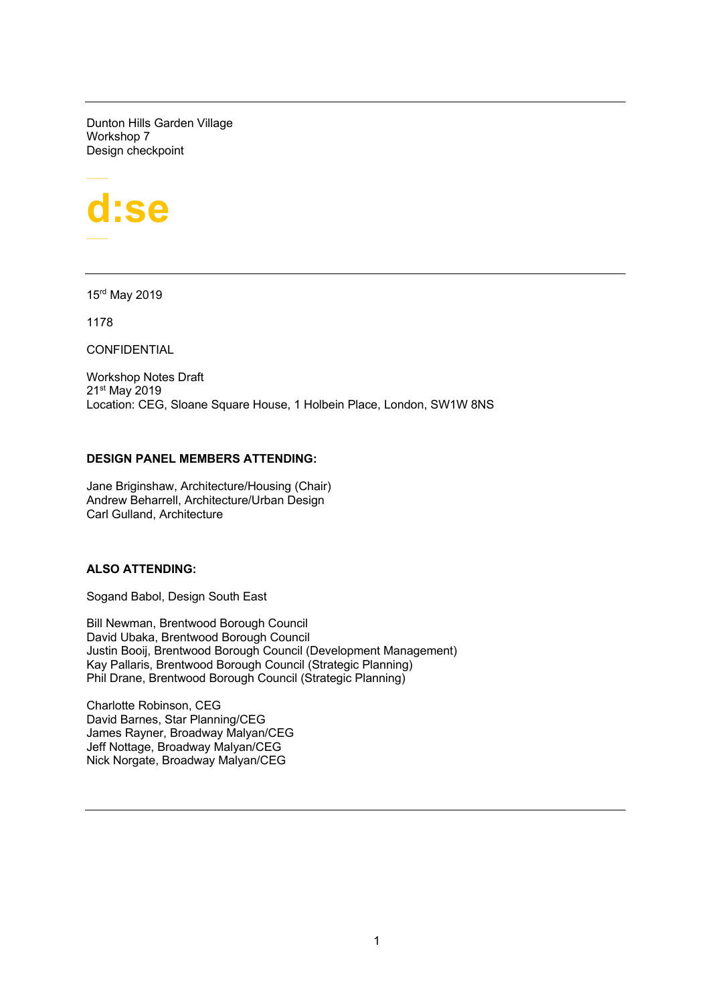Dunton Hills Garden Village Workshop 7 Design checkpoint



15rd May 2019

1178

**CONFIDENTIAL** 

Workshop Notes Draft 21st May 2019 Location: CEG, Sloane Square House, 1 Holbein Place, London, SW1W 8NS

# **DESIGN PANEL MEMBERS ATTENDING:**

Jane Briginshaw, Architecture/Housing (Chair) Andrew Beharrell, Architecture/Urban Design Carl Gulland, Architecture

# **ALSO ATTENDING:**

Sogand Babol, Design South East

Bill Newman, Brentwood Borough Council David Ubaka, Brentwood Borough Council Justin Booij, Brentwood Borough Council (Development Management) Kay Pallaris, Brentwood Borough Council (Strategic Planning) Phil Drane, Brentwood Borough Council (Strategic Planning)

Charlotte Robinson, CEG David Barnes, Star Planning/CEG James Rayner, Broadway Malyan/CEG Jeff Nottage, Broadway Malyan/CEG Nick Norgate, Broadway Malyan/CEG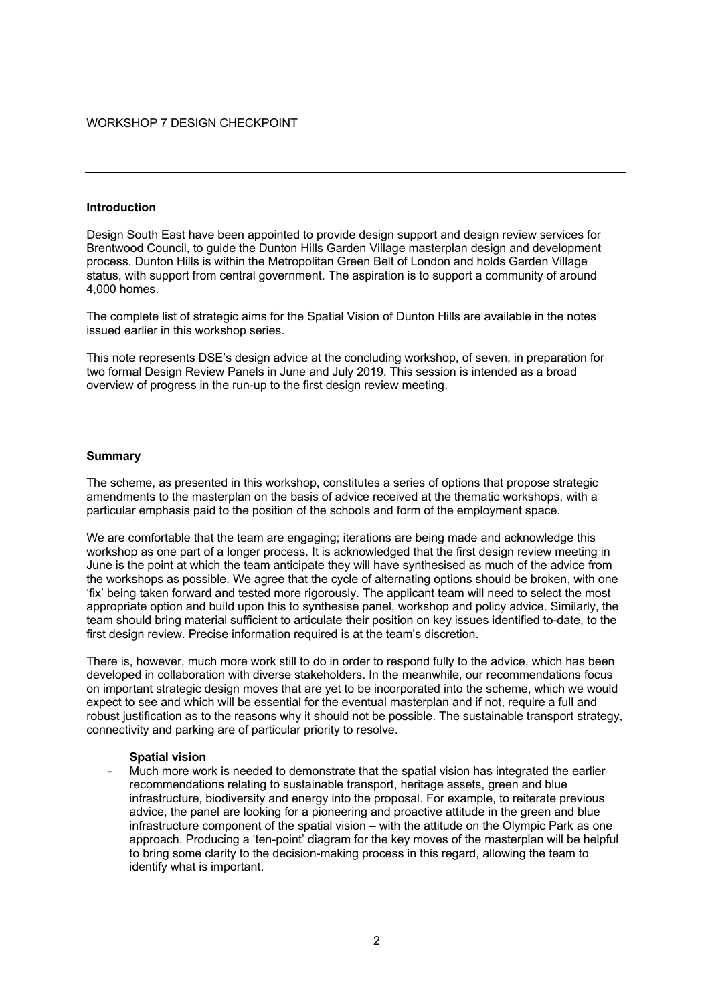### WORKSHOP 7 DESIGN CHECKPOINT

#### **Introduction**

Design South East have been appointed to provide design support and design review services for Brentwood Council, to guide the Dunton Hills Garden Village masterplan design and development process. Dunton Hills is within the Metropolitan Green Belt of London and holds Garden Village status, with support from central government. The aspiration is to support a community of around 4,000 homes.

The complete list of strategic aims for the Spatial Vision of Dunton Hills are available in the notes issued earlier in this workshop series.

This note represents DSE's design advice at the concluding workshop, of seven, in preparation for two formal Design Review Panels in June and July 2019. This session is intended as a broad overview of progress in the run-up to the first design review meeting.

#### **Summary**

The scheme, as presented in this workshop, constitutes a series of options that propose strategic amendments to the masterplan on the basis of advice received at the thematic workshops, with a particular emphasis paid to the position of the schools and form of the employment space.

We are comfortable that the team are engaging; iterations are being made and acknowledge this workshop as one part of a longer process. It is acknowledged that the first design review meeting in June is the point at which the team anticipate they will have synthesised as much of the advice from the workshops as possible. We agree that the cycle of alternating options should be broken, with one 'fix' being taken forward and tested more rigorously. The applicant team will need to select the most appropriate option and build upon this to synthesise panel, workshop and policy advice. Similarly, the team should bring material sufficient to articulate their position on key issues identified to-date, to the first design review. Precise information required is at the team's discretion.

There is, however, much more work still to do in order to respond fully to the advice, which has been developed in collaboration with diverse stakeholders. In the meanwhile, our recommendations focus on important strategic design moves that are yet to be incorporated into the scheme, which we would expect to see and which will be essential for the eventual masterplan and if not, require a full and robust justification as to the reasons why it should not be possible. The sustainable transport strategy, connectivity and parking are of particular priority to resolve.

#### **Spatial vision**

Much more work is needed to demonstrate that the spatial vision has integrated the earlier recommendations relating to sustainable transport, heritage assets, green and blue infrastructure, biodiversity and energy into the proposal. For example, to reiterate previous advice, the panel are looking for a pioneering and proactive attitude in the green and blue infrastructure component of the spatial vision – with the attitude on the Olympic Park as one approach. Producing a 'ten-point' diagram for the key moves of the masterplan will be helpful to bring some clarity to the decision-making process in this regard, allowing the team to identify what is important.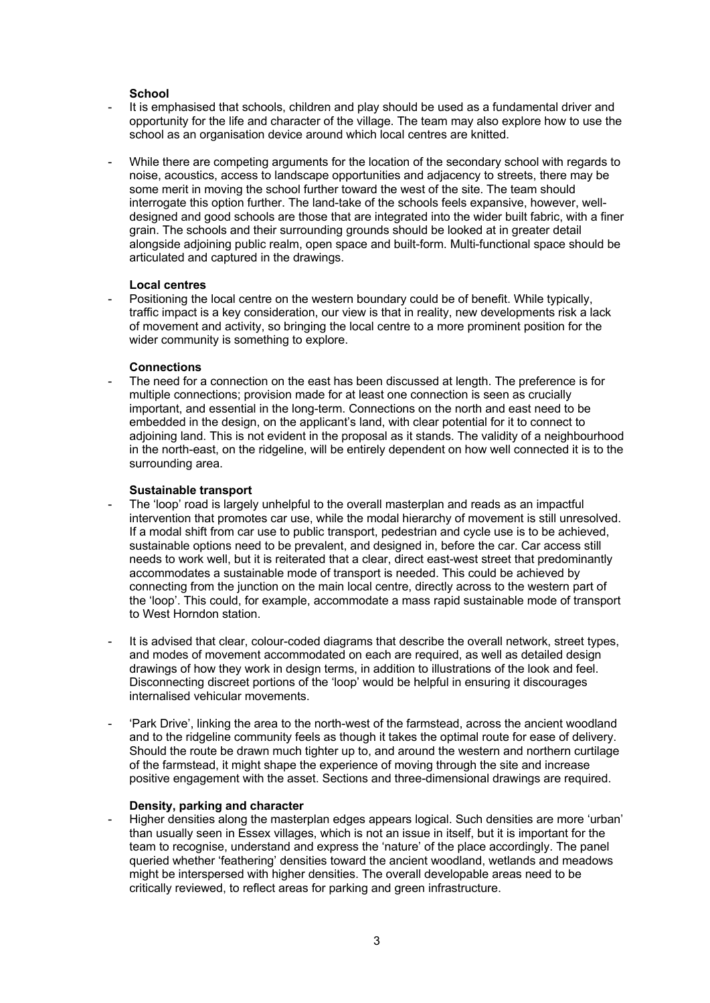### **School**

- It is emphasised that schools, children and play should be used as a fundamental driver and opportunity for the life and character of the village. The team may also explore how to use the school as an organisation device around which local centres are knitted.
- While there are competing arguments for the location of the secondary school with regards to noise, acoustics, access to landscape opportunities and adjacency to streets, there may be some merit in moving the school further toward the west of the site. The team should interrogate this option further. The land-take of the schools feels expansive, however, welldesigned and good schools are those that are integrated into the wider built fabric, with a finer grain. The schools and their surrounding grounds should be looked at in greater detail alongside adjoining public realm, open space and built-form. Multi-functional space should be articulated and captured in the drawings.

# **Local centres**

Positioning the local centre on the western boundary could be of benefit. While typically, traffic impact is a key consideration, our view is that in reality, new developments risk a lack of movement and activity, so bringing the local centre to a more prominent position for the wider community is something to explore.

# **Connections**

- The need for a connection on the east has been discussed at length. The preference is for multiple connections; provision made for at least one connection is seen as crucially important, and essential in the long-term. Connections on the north and east need to be embedded in the design, on the applicant's land, with clear potential for it to connect to adjoining land. This is not evident in the proposal as it stands. The validity of a neighbourhood in the north-east, on the ridgeline, will be entirely dependent on how well connected it is to the surrounding area.

# **Sustainable transport**

- The 'loop' road is largely unhelpful to the overall masterplan and reads as an impactful intervention that promotes car use, while the modal hierarchy of movement is still unresolved. If a modal shift from car use to public transport, pedestrian and cycle use is to be achieved, sustainable options need to be prevalent, and designed in, before the car. Car access still needs to work well, but it is reiterated that a clear, direct east-west street that predominantly accommodates a sustainable mode of transport is needed. This could be achieved by connecting from the junction on the main local centre, directly across to the western part of the 'loop'. This could, for example, accommodate a mass rapid sustainable mode of transport to West Horndon station.
- It is advised that clear, colour-coded diagrams that describe the overall network, street types, and modes of movement accommodated on each are required, as well as detailed design drawings of how they work in design terms, in addition to illustrations of the look and feel. Disconnecting discreet portions of the 'loop' would be helpful in ensuring it discourages internalised vehicular movements.
- 'Park Drive', linking the area to the north-west of the farmstead, across the ancient woodland and to the ridgeline community feels as though it takes the optimal route for ease of delivery. Should the route be drawn much tighter up to, and around the western and northern curtilage of the farmstead, it might shape the experience of moving through the site and increase positive engagement with the asset. Sections and three-dimensional drawings are required.

### **Density, parking and character**

- Higher densities along the masterplan edges appears logical. Such densities are more 'urban' than usually seen in Essex villages, which is not an issue in itself, but it is important for the team to recognise, understand and express the 'nature' of the place accordingly. The panel queried whether 'feathering' densities toward the ancient woodland, wetlands and meadows might be interspersed with higher densities. The overall developable areas need to be critically reviewed, to reflect areas for parking and green infrastructure.